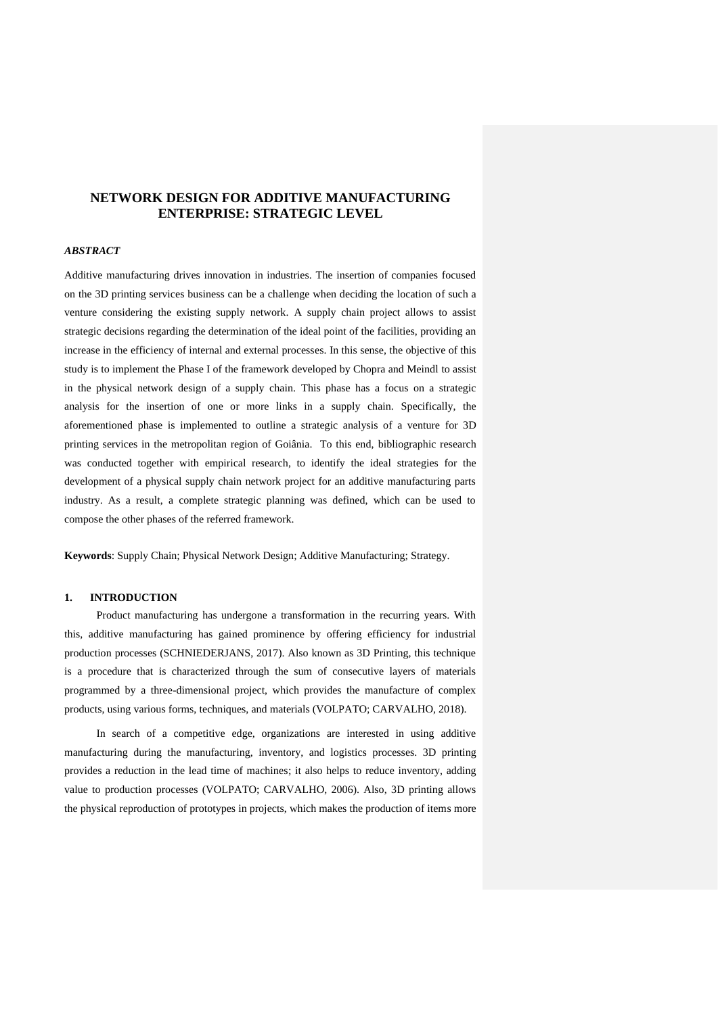# **NETWORK DESIGN FOR ADDITIVE MANUFACTURING ENTERPRISE: STRATEGIC LEVEL**

# *ABSTRACT*

Additive manufacturing drives innovation in industries. The insertion of companies focused on the 3D printing services business can be a challenge when deciding the location of such a venture considering the existing supply network. A supply chain project allows to assist strategic decisions regarding the determination of the ideal point of the facilities, providing an increase in the efficiency of internal and external processes. In this sense, the objective of this study is to implement the Phase I of the framework developed by Chopra and Meindl to assist in the physical network design of a supply chain. This phase has a focus on a strategic analysis for the insertion of one or more links in a supply chain. Specifically, the aforementioned phase is implemented to outline a strategic analysis of a venture for 3D printing services in the metropolitan region of Goiânia. To this end, bibliographic research was conducted together with empirical research, to identify the ideal strategies for the development of a physical supply chain network project for an additive manufacturing parts industry. As a result, a complete strategic planning was defined, which can be used to compose the other phases of the referred framework.

**Keywords**: Supply Chain; Physical Network Design; Additive Manufacturing; Strategy.

#### **1. INTRODUCTION**

Product manufacturing has undergone a transformation in the recurring years. With this, additive manufacturing has gained prominence by offering efficiency for industrial production processes (SCHNIEDERJANS, 2017). Also known as 3D Printing, this technique is a procedure that is characterized through the sum of consecutive layers of materials programmed by a three-dimensional project, which provides the manufacture of complex products, using various forms, techniques, and materials (VOLPATO; CARVALHO, 2018).

In search of a competitive edge, organizations are interested in using additive manufacturing during the manufacturing, inventory, and logistics processes. 3D printing provides a reduction in the lead time of machines; it also helps to reduce inventory, adding value to production processes (VOLPATO; CARVALHO, 2006). Also, 3D printing allows the physical reproduction of prototypes in projects, which makes the production of items more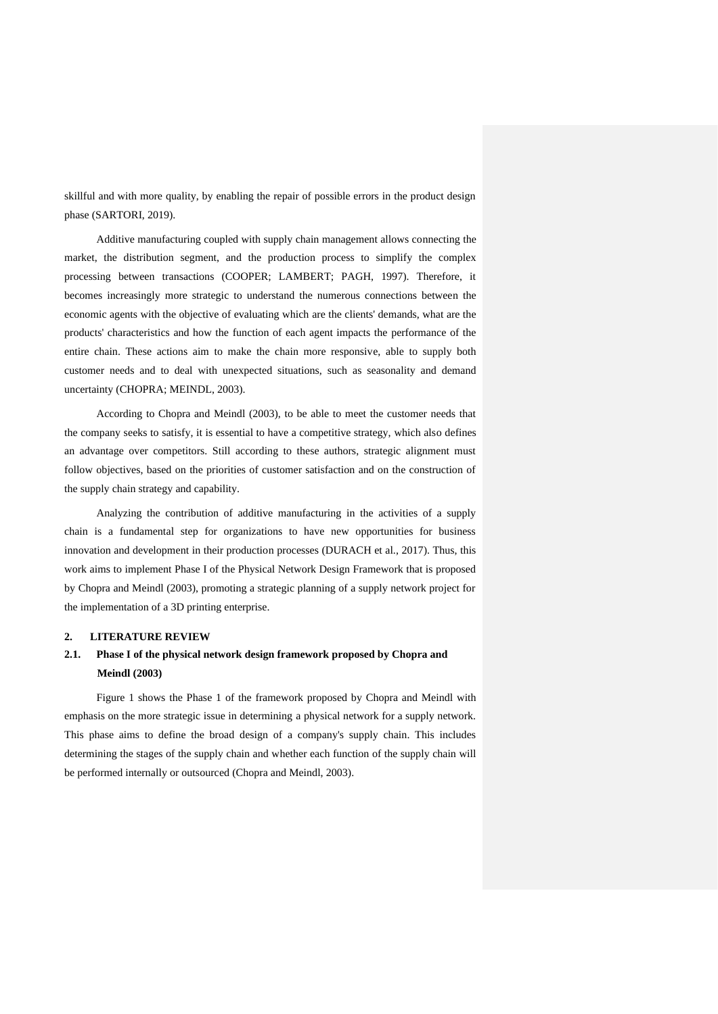skillful and with more quality, by enabling the repair of possible errors in the product design phase (SARTORI, 2019).

Additive manufacturing coupled with supply chain management allows connecting the market, the distribution segment, and the production process to simplify the complex processing between transactions (COOPER; LAMBERT; PAGH, 1997). Therefore, it becomes increasingly more strategic to understand the numerous connections between the economic agents with the objective of evaluating which are the clients' demands, what are the products' characteristics and how the function of each agent impacts the performance of the entire chain. These actions aim to make the chain more responsive, able to supply both customer needs and to deal with unexpected situations, such as seasonality and demand uncertainty (CHOPRA; MEINDL, 2003).

According to Chopra and Meindl (2003), to be able to meet the customer needs that the company seeks to satisfy, it is essential to have a competitive strategy, which also defines an advantage over competitors. Still according to these authors, strategic alignment must follow objectives, based on the priorities of customer satisfaction and on the construction of the supply chain strategy and capability.

Analyzing the contribution of additive manufacturing in the activities of a supply chain is a fundamental step for organizations to have new opportunities for business innovation and development in their production processes (DURACH et al., 2017). Thus, this work aims to implement Phase I of the Physical Network Design Framework that is proposed by Chopra and Meindl (2003), promoting a strategic planning of a supply network project for the implementation of a 3D printing enterprise.

#### **2. LITERATURE REVIEW**

# **2.1. Phase I of the physical network design framework proposed by Chopra and Meindl (2003)**

Figure 1 shows the Phase 1 of the framework proposed by Chopra and Meindl with emphasis on the more strategic issue in determining a physical network for a supply network. This phase aims to define the broad design of a company's supply chain. This includes determining the stages of the supply chain and whether each function of the supply chain will be performed internally or outsourced (Chopra and Meindl, 2003).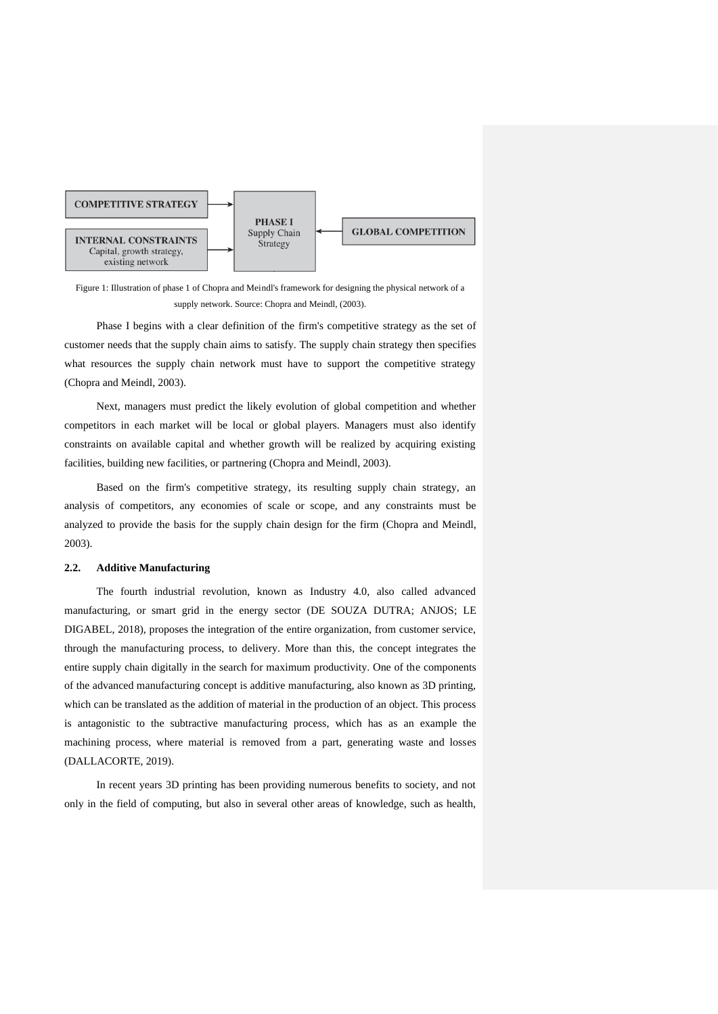

Figure 1: Illustration of phase 1 of Chopra and Meindl's framework for designing the physical network of a supply network. Source: Chopra and Meindl, (2003).

Phase I begins with a clear definition of the firm's competitive strategy as the set of customer needs that the supply chain aims to satisfy. The supply chain strategy then specifies what resources the supply chain network must have to support the competitive strategy (Chopra and Meindl, 2003).

Next, managers must predict the likely evolution of global competition and whether competitors in each market will be local or global players. Managers must also identify constraints on available capital and whether growth will be realized by acquiring existing facilities, building new facilities, or partnering (Chopra and Meindl, 2003).

Based on the firm's competitive strategy, its resulting supply chain strategy, an analysis of competitors, any economies of scale or scope, and any constraints must be analyzed to provide the basis for the supply chain design for the firm (Chopra and Meindl, 2003).

# **2.2. Additive Manufacturing**

The fourth industrial revolution, known as Industry 4.0, also called advanced manufacturing, or smart grid in the energy sector (DE SOUZA DUTRA; ANJOS; LE DIGABEL, 2018), proposes the integration of the entire organization, from customer service, through the manufacturing process, to delivery. More than this, the concept integrates the entire supply chain digitally in the search for maximum productivity. One of the components of the advanced manufacturing concept is additive manufacturing, also known as 3D printing, which can be translated as the addition of material in the production of an object. This process is antagonistic to the subtractive manufacturing process, which has as an example the machining process, where material is removed from a part, generating waste and losses (DALLACORTE, 2019).

In recent years 3D printing has been providing numerous benefits to society, and not only in the field of computing, but also in several other areas of knowledge, such as health,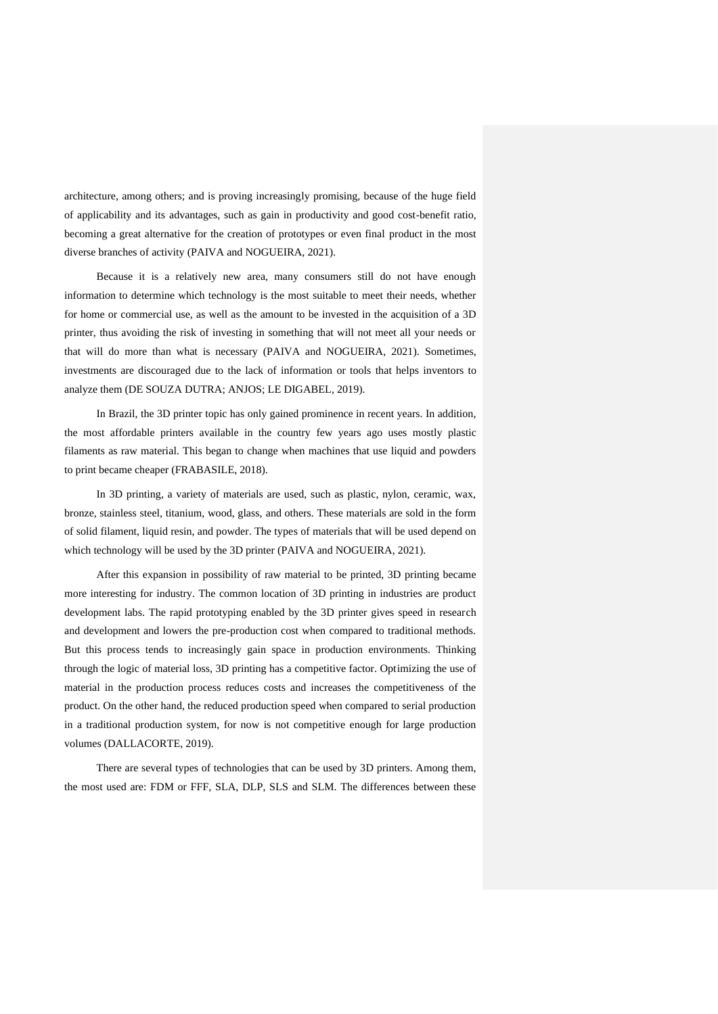architecture, among others; and is proving increasingly promising, because of the huge field of applicability and its advantages, such as gain in productivity and good cost-benefit ratio, becoming a great alternative for the creation of prototypes or even final product in the most diverse branches of activity (PAIVA and NOGUEIRA, 2021).

Because it is a relatively new area, many consumers still do not have enough information to determine which technology is the most suitable to meet their needs, whether for home or commercial use, as well as the amount to be invested in the acquisition of a 3D printer, thus avoiding the risk of investing in something that will not meet all your needs or that will do more than what is necessary (PAIVA and NOGUEIRA, 2021). Sometimes, investments are discouraged due to the lack of information or tools that helps inventors to analyze them (DE SOUZA DUTRA; ANJOS; LE DIGABEL, 2019).

In Brazil, the 3D printer topic has only gained prominence in recent years. In addition, the most affordable printers available in the country few years ago uses mostly plastic filaments as raw material. This began to change when machines that use liquid and powders to print became cheaper (FRABASILE, 2018).

In 3D printing, a variety of materials are used, such as plastic, nylon, ceramic, wax, bronze, stainless steel, titanium, wood, glass, and others. These materials are sold in the form of solid filament, liquid resin, and powder. The types of materials that will be used depend on which technology will be used by the 3D printer (PAIVA and NOGUEIRA, 2021).

After this expansion in possibility of raw material to be printed, 3D printing became more interesting for industry. The common location of 3D printing in industries are product development labs. The rapid prototyping enabled by the 3D printer gives speed in research and development and lowers the pre-production cost when compared to traditional methods. But this process tends to increasingly gain space in production environments. Thinking through the logic of material loss, 3D printing has a competitive factor. Optimizing the use of material in the production process reduces costs and increases the competitiveness of the product. On the other hand, the reduced production speed when compared to serial production in a traditional production system, for now is not competitive enough for large production volumes (DALLACORTE, 2019).

There are several types of technologies that can be used by 3D printers. Among them, the most used are: FDM or FFF, SLA, DLP, SLS and SLM. The differences between these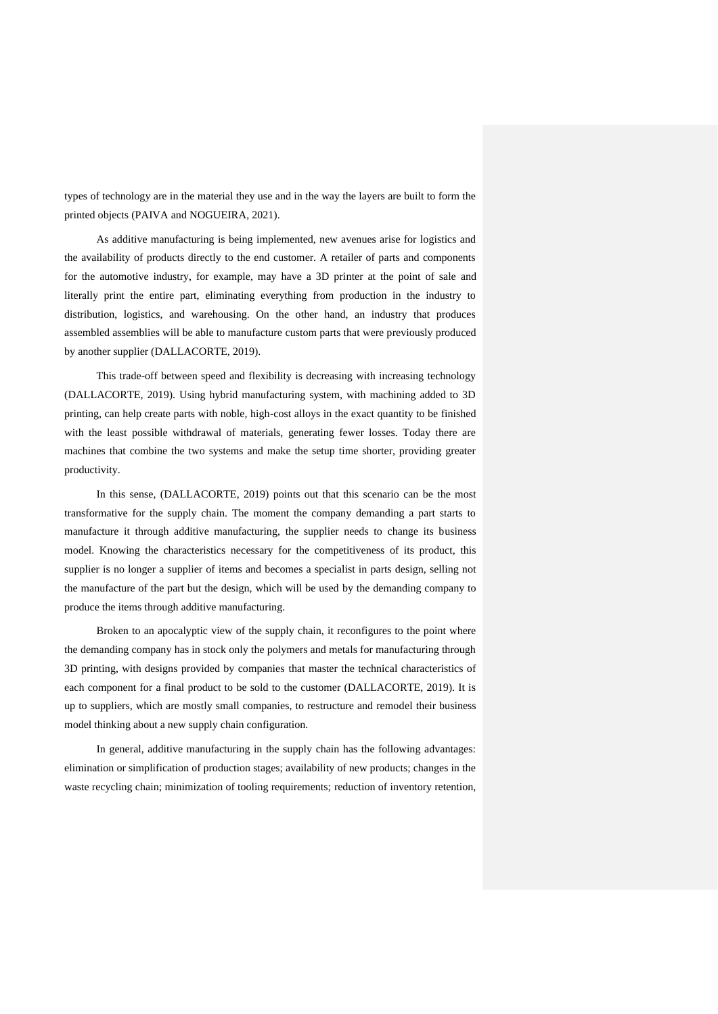types of technology are in the material they use and in the way the layers are built to form the printed objects (PAIVA and NOGUEIRA, 2021).

As additive manufacturing is being implemented, new avenues arise for logistics and the availability of products directly to the end customer. A retailer of parts and components for the automotive industry, for example, may have a 3D printer at the point of sale and literally print the entire part, eliminating everything from production in the industry to distribution, logistics, and warehousing. On the other hand, an industry that produces assembled assemblies will be able to manufacture custom parts that were previously produced by another supplier (DALLACORTE, 2019).

This trade-off between speed and flexibility is decreasing with increasing technology (DALLACORTE, 2019). Using hybrid manufacturing system, with machining added to 3D printing, can help create parts with noble, high-cost alloys in the exact quantity to be finished with the least possible withdrawal of materials, generating fewer losses. Today there are machines that combine the two systems and make the setup time shorter, providing greater productivity.

In this sense, (DALLACORTE, 2019) points out that this scenario can be the most transformative for the supply chain. The moment the company demanding a part starts to manufacture it through additive manufacturing, the supplier needs to change its business model. Knowing the characteristics necessary for the competitiveness of its product, this supplier is no longer a supplier of items and becomes a specialist in parts design, selling not the manufacture of the part but the design, which will be used by the demanding company to produce the items through additive manufacturing.

Broken to an apocalyptic view of the supply chain, it reconfigures to the point where the demanding company has in stock only the polymers and metals for manufacturing through 3D printing, with designs provided by companies that master the technical characteristics of each component for a final product to be sold to the customer (DALLACORTE, 2019). It is up to suppliers, which are mostly small companies, to restructure and remodel their business model thinking about a new supply chain configuration.

In general, additive manufacturing in the supply chain has the following advantages: elimination or simplification of production stages; availability of new products; changes in the waste recycling chain; minimization of tooling requirements; reduction of inventory retention,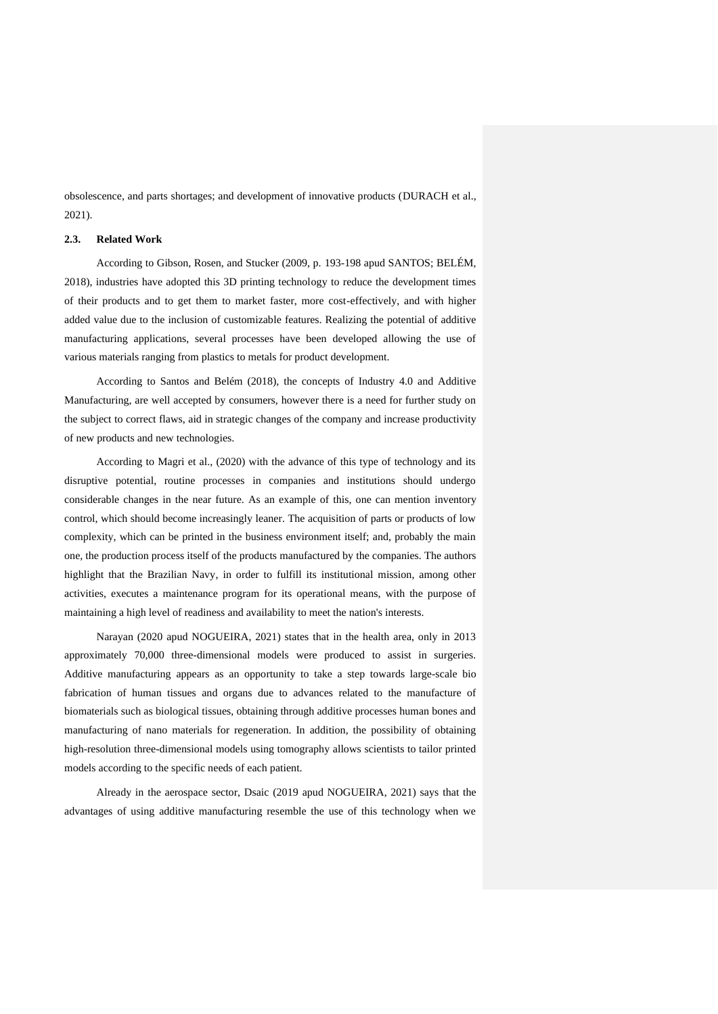obsolescence, and parts shortages; and development of innovative products (DURACH et al., 2021).

#### **2.3. Related Work**

According to Gibson, Rosen, and Stucker (2009, p. 193-198 apud SANTOS; BELÉM, 2018), industries have adopted this 3D printing technology to reduce the development times of their products and to get them to market faster, more cost-effectively, and with higher added value due to the inclusion of customizable features. Realizing the potential of additive manufacturing applications, several processes have been developed allowing the use of various materials ranging from plastics to metals for product development.

According to Santos and Belém (2018), the concepts of Industry 4.0 and Additive Manufacturing, are well accepted by consumers, however there is a need for further study on the subject to correct flaws, aid in strategic changes of the company and increase productivity of new products and new technologies.

According to Magri et al., (2020) with the advance of this type of technology and its disruptive potential, routine processes in companies and institutions should undergo considerable changes in the near future. As an example of this, one can mention inventory control, which should become increasingly leaner. The acquisition of parts or products of low complexity, which can be printed in the business environment itself; and, probably the main one, the production process itself of the products manufactured by the companies. The authors highlight that the Brazilian Navy, in order to fulfill its institutional mission, among other activities, executes a maintenance program for its operational means, with the purpose of maintaining a high level of readiness and availability to meet the nation's interests.

Narayan (2020 apud NOGUEIRA, 2021) states that in the health area, only in 2013 approximately 70,000 three-dimensional models were produced to assist in surgeries. Additive manufacturing appears as an opportunity to take a step towards large-scale bio fabrication of human tissues and organs due to advances related to the manufacture of biomaterials such as biological tissues, obtaining through additive processes human bones and manufacturing of nano materials for regeneration. In addition, the possibility of obtaining high-resolution three-dimensional models using tomography allows scientists to tailor printed models according to the specific needs of each patient.

Already in the aerospace sector, Dsaic (2019 apud NOGUEIRA, 2021) says that the advantages of using additive manufacturing resemble the use of this technology when we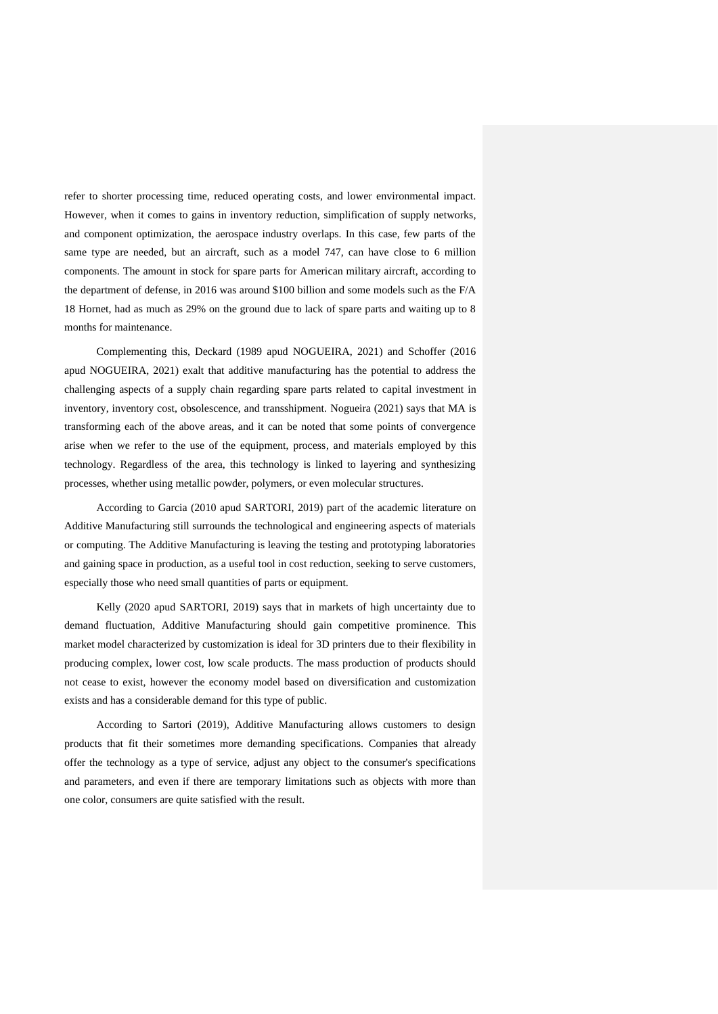refer to shorter processing time, reduced operating costs, and lower environmental impact. However, when it comes to gains in inventory reduction, simplification of supply networks, and component optimization, the aerospace industry overlaps. In this case, few parts of the same type are needed, but an aircraft, such as a model 747, can have close to 6 million components. The amount in stock for spare parts for American military aircraft, according to the department of defense, in 2016 was around \$100 billion and some models such as the F/A 18 Hornet, had as much as 29% on the ground due to lack of spare parts and waiting up to 8 months for maintenance.

Complementing this, Deckard (1989 apud NOGUEIRA, 2021) and Schoffer (2016 apud NOGUEIRA, 2021) exalt that additive manufacturing has the potential to address the challenging aspects of a supply chain regarding spare parts related to capital investment in inventory, inventory cost, obsolescence, and transshipment. Nogueira (2021) says that MA is transforming each of the above areas, and it can be noted that some points of convergence arise when we refer to the use of the equipment, process, and materials employed by this technology. Regardless of the area, this technology is linked to layering and synthesizing processes, whether using metallic powder, polymers, or even molecular structures.

According to Garcia (2010 apud SARTORI, 2019) part of the academic literature on Additive Manufacturing still surrounds the technological and engineering aspects of materials or computing. The Additive Manufacturing is leaving the testing and prototyping laboratories and gaining space in production, as a useful tool in cost reduction, seeking to serve customers, especially those who need small quantities of parts or equipment.

Kelly (2020 apud SARTORI, 2019) says that in markets of high uncertainty due to demand fluctuation, Additive Manufacturing should gain competitive prominence. This market model characterized by customization is ideal for 3D printers due to their flexibility in producing complex, lower cost, low scale products. The mass production of products should not cease to exist, however the economy model based on diversification and customization exists and has a considerable demand for this type of public.

According to Sartori (2019), Additive Manufacturing allows customers to design products that fit their sometimes more demanding specifications. Companies that already offer the technology as a type of service, adjust any object to the consumer's specifications and parameters, and even if there are temporary limitations such as objects with more than one color, consumers are quite satisfied with the result.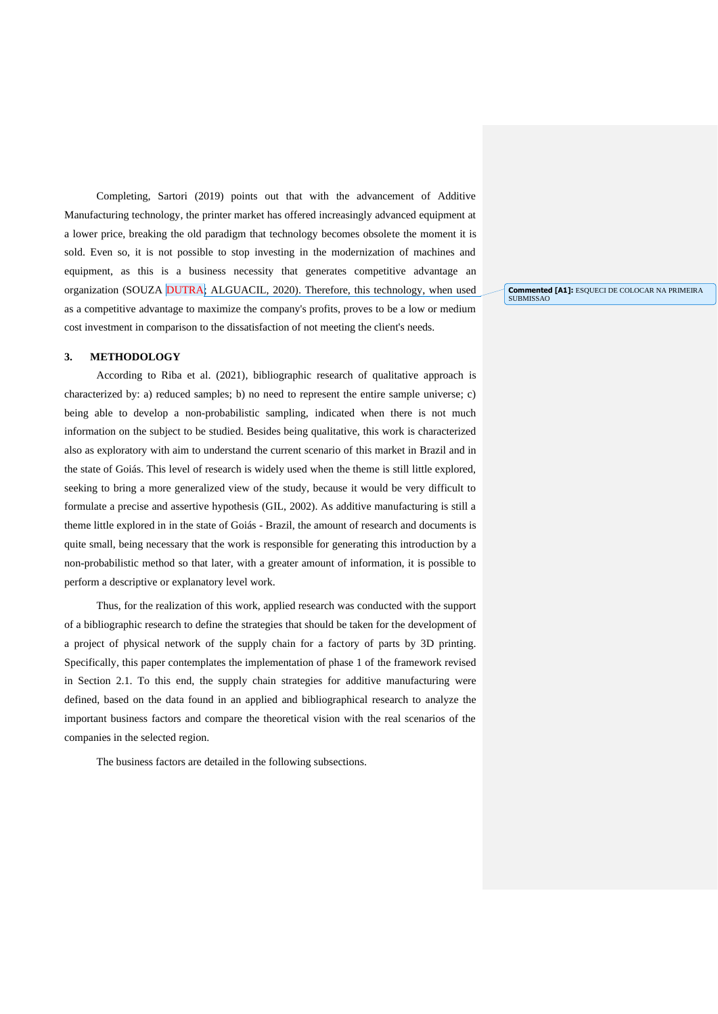Completing, Sartori (2019) points out that with the advancement of Additive Manufacturing technology, the printer market has offered increasingly advanced equipment at a lower price, breaking the old paradigm that technology becomes obsolete the moment it is sold. Even so, it is not possible to stop investing in the modernization of machines and equipment, as this is a business necessity that generates competitive advantage an organization (SOUZA DUTRA; ALGUACIL, 2020). Therefore, this technology, when used as a competitive advantage to maximize the company's profits, proves to be a low or medium cost investment in comparison to the dissatisfaction of not meeting the client's needs.

**Commented [A1]:** ESQUECI DE COLOCAR NA PRIMEIRA SUBMISSAO

#### **3. METHODOLOGY**

According to Riba et al. (2021), bibliographic research of qualitative approach is characterized by: a) reduced samples; b) no need to represent the entire sample universe; c) being able to develop a non-probabilistic sampling, indicated when there is not much information on the subject to be studied. Besides being qualitative, this work is characterized also as exploratory with aim to understand the current scenario of this market in Brazil and in the state of Goiás. This level of research is widely used when the theme is still little explored, seeking to bring a more generalized view of the study, because it would be very difficult to formulate a precise and assertive hypothesis (GIL, 2002). As additive manufacturing is still a theme little explored in in the state of Goiás - Brazil, the amount of research and documents is quite small, being necessary that the work is responsible for generating this introduction by a non-probabilistic method so that later, with a greater amount of information, it is possible to perform a descriptive or explanatory level work.

Thus, for the realization of this work, applied research was conducted with the support of a bibliographic research to define the strategies that should be taken for the development of a project of physical network of the supply chain for a factory of parts by 3D printing. Specifically, this paper contemplates the implementation of phase 1 of the framework revised in Section 2.1. To this end, the supply chain strategies for additive manufacturing were defined, based on the data found in an applied and bibliographical research to analyze the important business factors and compare the theoretical vision with the real scenarios of the companies in the selected region.

The business factors are detailed in the following subsections.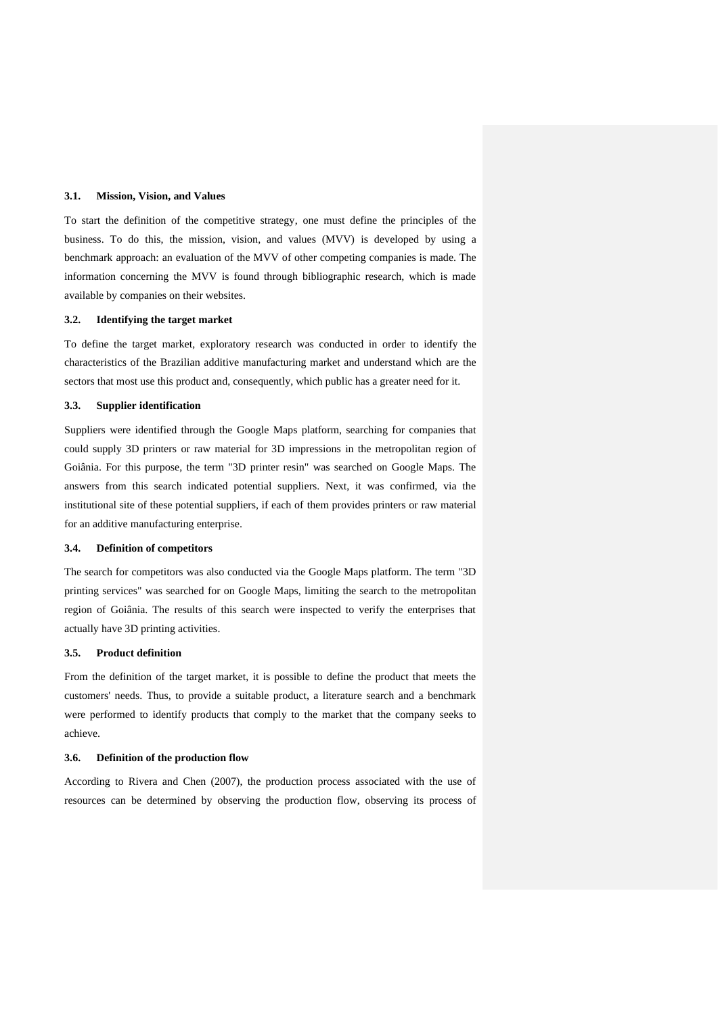### **3.1. Mission, Vision, and Values**

To start the definition of the competitive strategy, one must define the principles of the business. To do this, the mission, vision, and values (MVV) is developed by using a benchmark approach: an evaluation of the MVV of other competing companies is made. The information concerning the MVV is found through bibliographic research, which is made available by companies on their websites.

#### **3.2. Identifying the target market**

To define the target market, exploratory research was conducted in order to identify the characteristics of the Brazilian additive manufacturing market and understand which are the sectors that most use this product and, consequently, which public has a greater need for it.

# **3.3. Supplier identification**

Suppliers were identified through the Google Maps platform, searching for companies that could supply 3D printers or raw material for 3D impressions in the metropolitan region of Goiânia. For this purpose, the term "3D printer resin" was searched on Google Maps. The answers from this search indicated potential suppliers. Next, it was confirmed, via the institutional site of these potential suppliers, if each of them provides printers or raw material for an additive manufacturing enterprise.

# **3.4. Definition of competitors**

The search for competitors was also conducted via the Google Maps platform. The term "3D printing services" was searched for on Google Maps, limiting the search to the metropolitan region of Goiânia. The results of this search were inspected to verify the enterprises that actually have 3D printing activities.

#### **3.5. Product definition**

From the definition of the target market, it is possible to define the product that meets the customers' needs. Thus, to provide a suitable product, a literature search and a benchmark were performed to identify products that comply to the market that the company seeks to achieve.

# **3.6. Definition of the production flow**

According to Rivera and Chen (2007), the production process associated with the use of resources can be determined by observing the production flow, observing its process of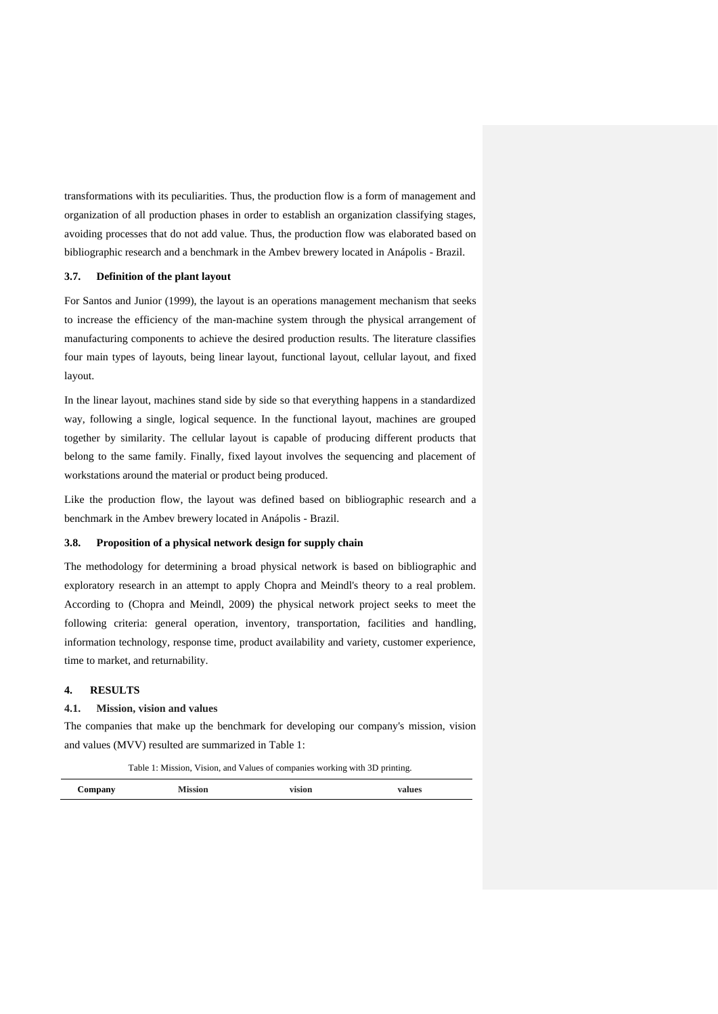transformations with its peculiarities. Thus, the production flow is a form of management and organization of all production phases in order to establish an organization classifying stages, avoiding processes that do not add value. Thus, the production flow was elaborated based on bibliographic research and a benchmark in the Ambev brewery located in Anápolis - Brazil.

#### **3.7. Definition of the plant layout**

For Santos and Junior (1999), the layout is an operations management mechanism that seeks to increase the efficiency of the man-machine system through the physical arrangement of manufacturing components to achieve the desired production results. The literature classifies four main types of layouts, being linear layout, functional layout, cellular layout, and fixed layout.

In the linear layout, machines stand side by side so that everything happens in a standardized way, following a single, logical sequence. In the functional layout, machines are grouped together by similarity. The cellular layout is capable of producing different products that belong to the same family. Finally, fixed layout involves the sequencing and placement of workstations around the material or product being produced.

Like the production flow, the layout was defined based on bibliographic research and a benchmark in the Ambev brewery located in Anápolis - Brazil.

#### **3.8. Proposition of a physical network design for supply chain**

The methodology for determining a broad physical network is based on bibliographic and exploratory research in an attempt to apply Chopra and Meindl's theory to a real problem. According to (Chopra and Meindl, 2009) the physical network project seeks to meet the following criteria: general operation, inventory, transportation, facilities and handling, information technology, response time, product availability and variety, customer experience, time to market, and returnability.

# **4. RESULTS**

### **4.1. Mission, vision and values**

The companies that make up the benchmark for developing our company's mission, vision and values (MVV) resulted are summarized in Table 1:

Table 1: Mission, Vision, and Values of companies working with 3D printing.

| Company | 'SIOIA<br>--------- | vision<br>$-220 - 220 - 220$ | lues |
|---------|---------------------|------------------------------|------|
|         |                     |                              |      |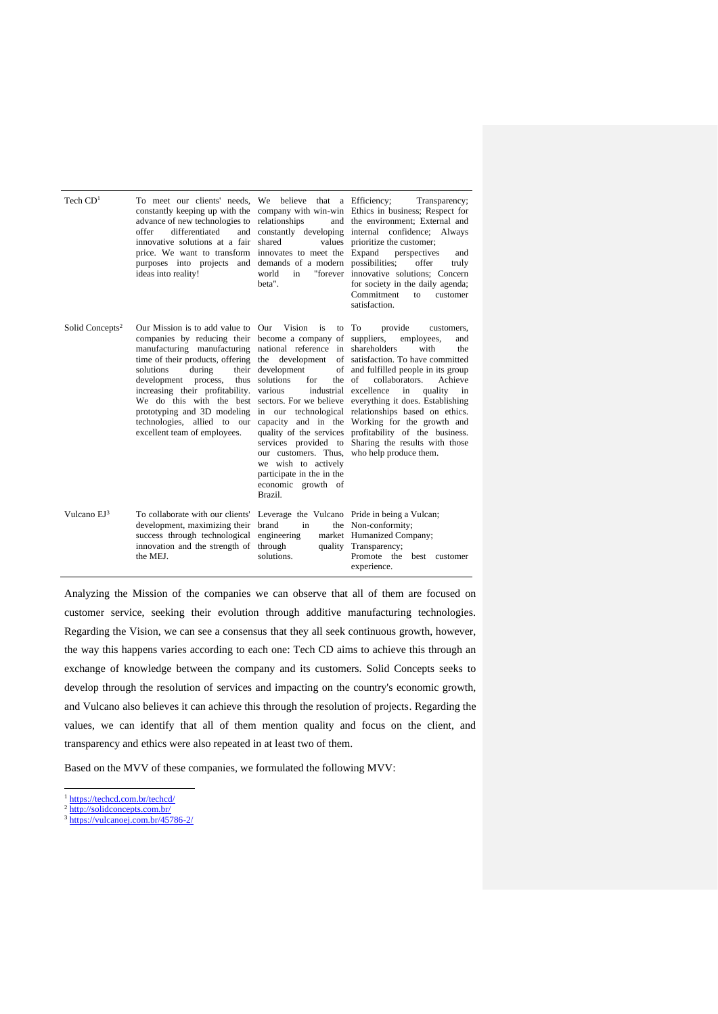| Tech $CD1$                  | To meet our clients' needs, We believe that a Efficiency;<br>constantly keeping up with the<br>advance of new technologies to<br>differentiated<br>offer<br>and<br>innovative solutions at a fair<br>price. We want to transform<br>purposes into projects and<br>ideas into reality!                                                                                                                     | relationships<br>shared<br>innovates to meet the Expand<br>demands of a modern possibilities:<br>world<br>in<br>beta".                          | Transparency;<br>company with win-win Ethics in business; Respect for<br>and the environment; External and<br>constantly developing internal confidence; Always<br>values prioritize the customer;<br>perspectives<br>and<br>offer<br>truly<br>"forever innovative solutions; Concern<br>for society in the daily agenda;<br>Commitment<br>to<br>customer<br>satisfaction.                                                                                                                                                                                                                                          |
|-----------------------------|-----------------------------------------------------------------------------------------------------------------------------------------------------------------------------------------------------------------------------------------------------------------------------------------------------------------------------------------------------------------------------------------------------------|-------------------------------------------------------------------------------------------------------------------------------------------------|---------------------------------------------------------------------------------------------------------------------------------------------------------------------------------------------------------------------------------------------------------------------------------------------------------------------------------------------------------------------------------------------------------------------------------------------------------------------------------------------------------------------------------------------------------------------------------------------------------------------|
| Solid Concepts <sup>2</sup> | Our Mission is to add value to Our Vision<br>companies by reducing their become a company of suppliers,<br>manufacturing manufacturing national reference in shareholders<br>solutions<br>during<br>their<br>development<br>process,<br>thus<br>increasing their profitability.<br>We do this with the best<br>prototyping and 3D modeling<br>technologies, allied to our<br>excellent team of employees. | is<br>development<br>solutions<br>for<br>the of<br>various<br>we wish to actively<br>participate in the in the<br>economic growth of<br>Brazil. | to To<br>provide<br>customers,<br>employees,<br>and<br>with<br>the<br>time of their products, offering the development of satisfaction. To have committed<br>of and fulfilled people in its group<br>Achieve<br>collaborators.<br>industrial excellence<br>quality<br>in<br>in<br>sectors. For we believe everything it does. Establishing<br>in our technological relationships based on ethics.<br>capacity and in the Working for the growth and<br>quality of the services profitability of the business.<br>services provided to Sharing the results with those<br>our customers. Thus, who help produce them. |
| Vulcano $EI^3$              | To collaborate with our clients'<br>development, maximizing their<br>success through technological<br>innovation and the strength of<br>the MEJ.                                                                                                                                                                                                                                                          | brand<br>in<br>engineering<br>through<br>solutions.                                                                                             | Leverage the Vulcano Pride in being a Vulcan;<br>the Non-conformity;<br>market Humanized Company;<br>quality Transparency;<br>Promote<br>the<br>best customer<br>experience.                                                                                                                                                                                                                                                                                                                                                                                                                                        |

Analyzing the Mission of the companies we can observe that all of them are focused on customer service, seeking their evolution through additive manufacturing technologies. Regarding the Vision, we can see a consensus that they all seek continuous growth, however, the way this happens varies according to each one: Tech CD aims to achieve this through an exchange of knowledge between the company and its customers. Solid Concepts seeks to develop through the resolution of services and impacting on the country's economic growth, and Vulcano also believes it can achieve this through the resolution of projects. Regarding the values, we can identify that all of them mention quality and focus on the client, and transparency and ethics were also repeated in at least two of them.

Based on the MVV of these companies, we formulated the following MVV:

- <sup>1</sup> <https://techcd.com.br/techcd/>
- <sup>2</sup> <http://solidconcepts.com.br/>

<sup>&</sup>lt;sup>3</sup> <https://vulcanoej.com.br/45786-2/>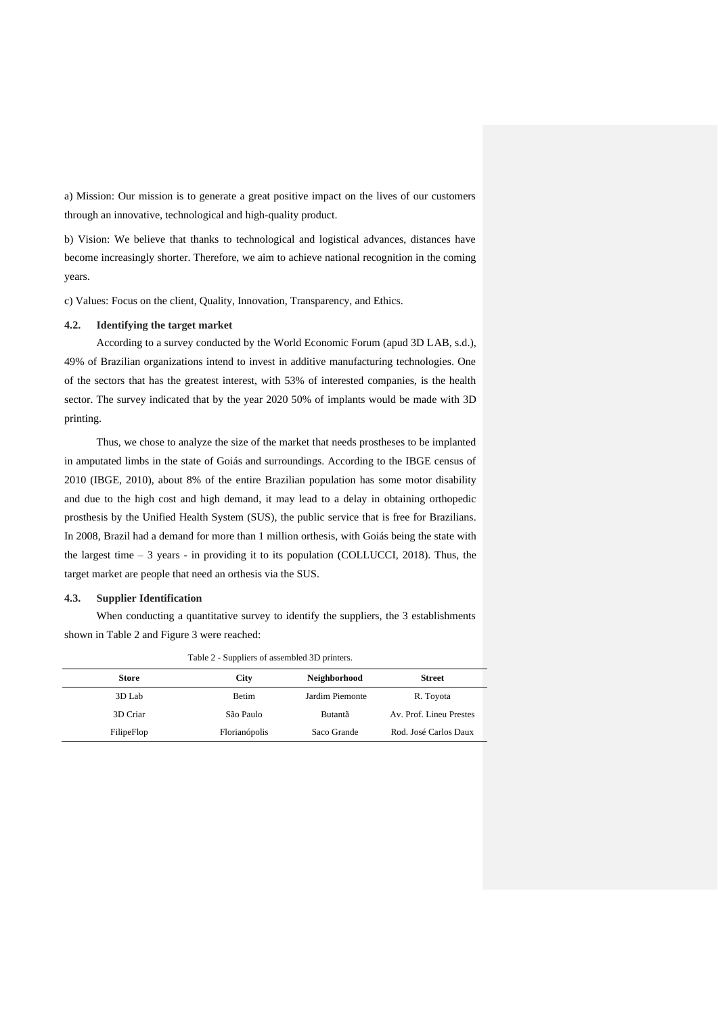a) Mission: Our mission is to generate a great positive impact on the lives of our customers through an innovative, technological and high-quality product.

b) Vision: We believe that thanks to technological and logistical advances, distances have become increasingly shorter. Therefore, we aim to achieve national recognition in the coming years.

c) Values: Focus on the client, Quality, Innovation, Transparency, and Ethics.

# **4.2. Identifying the target market**

According to a survey conducted by the World Economic Forum (apud 3D LAB, s.d.), 49% of Brazilian organizations intend to invest in additive manufacturing technologies. One of the sectors that has the greatest interest, with 53% of interested companies, is the health sector. The survey indicated that by the year 2020 50% of implants would be made with 3D printing.

Thus, we chose to analyze the size of the market that needs prostheses to be implanted in amputated limbs in the state of Goiás and surroundings. According to the IBGE census of 2010 (IBGE, 2010), about 8% of the entire Brazilian population has some motor disability and due to the high cost and high demand, it may lead to a delay in obtaining orthopedic prosthesis by the Unified Health System (SUS), the public service that is free for Brazilians. In 2008, Brazil had a demand for more than 1 million orthesis, with Goiás being the state with the largest time – 3 years - in providing it to its population (COLLUCCI, 2018). Thus, the target market are people that need an orthesis via the SUS.

### **4.3. Supplier Identification**

When conducting a quantitative survey to identify the suppliers, the 3 establishments shown in Table 2 and Figure 3 were reached:

|            | Table 2 - Suppliers of assembled 3D printers. |                 |                         |  |  |
|------------|-----------------------------------------------|-----------------|-------------------------|--|--|
| Store      | City                                          | Neighborhood    | <b>Street</b>           |  |  |
| 3D Lab     | Betim                                         | Jardim Piemonte | R. Toyota               |  |  |
| 3D Criar   | São Paulo                                     | Butantã         | Av. Prof. Lineu Prestes |  |  |
| FilipeFlop | Florianópolis                                 | Saco Grande     | Rod. José Carlos Daux   |  |  |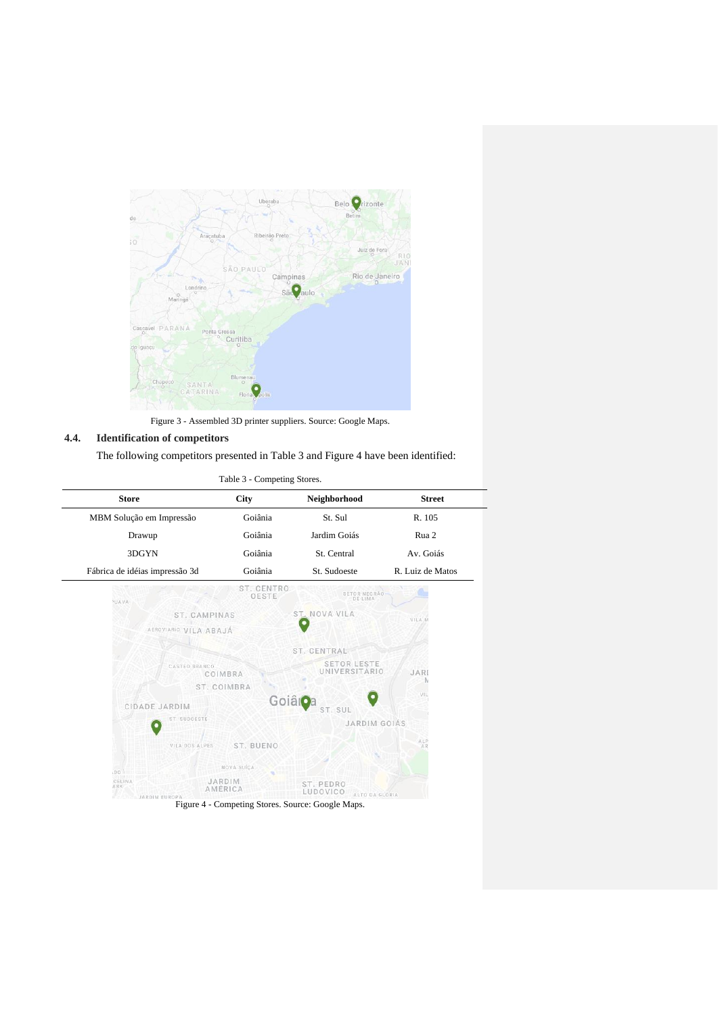

Figure 3 - Assembled 3D printer suppliers. Source: Google Maps.

# **4.4. Identification of competitors**

The following competitors presented in Table 3 and Figure 4 have been identified:

| Table 3 - Competing Stores.           |                          |                                            |                  |  |
|---------------------------------------|--------------------------|--------------------------------------------|------------------|--|
| <b>Store</b>                          | <b>City</b>              | Neighborhood                               | <b>Street</b>    |  |
| MBM Solução em Impressão              | Goiânia                  | St. Sul                                    | R. 105           |  |
| Drawup                                | Goiânia                  | Jardim Goiás                               | Rua 2            |  |
| 3DGYN                                 | Goiânia                  | St. Central                                | Av. Goiás        |  |
| Fábrica de idéias impressão 3d        | Goiânia                  | St. Sudoeste                               | R. Luiz de Matos |  |
| NVAVA                                 | ST. CENTRO<br>OESTE      | SETOR NEGRÃO-<br>DE LIMA                   |                  |  |
| ST. CAMPINAS                          |                          | ST. NOVA VILA                              | VILA.M           |  |
| AEROVIARIO VILA ABAJÁ                 |                          |                                            |                  |  |
|                                       |                          | ST. CENTRAL                                |                  |  |
| CASTEO BRANCO                         | COIMBRA                  | <b>SETOR LESTE</b><br><b>UNIVERSITARIO</b> | JARD             |  |
|                                       | ST. COIMBRA              |                                            | N                |  |
| CIDADE JARDIM                         |                          | Goiâioa<br>ST. SUL                         | VIL              |  |
| ST. SUDOESTE                          |                          | JARDIM GOIÁS                               |                  |  |
| VILA DOS ALPES                        | ST. BUENO                |                                            | ALP<br>AR        |  |
| D.O.                                  | NOVA SUÍCA               |                                            |                  |  |
| CELINA<br>ARK<br><b>JARDIM EUROPA</b> | JARDIM<br><b>AMERICA</b> | ST. PEDRO<br>LUDOVICO<br>ALTO DA GLORIA    |                  |  |

Figure 4 - Competing Stores. Source: Google Maps.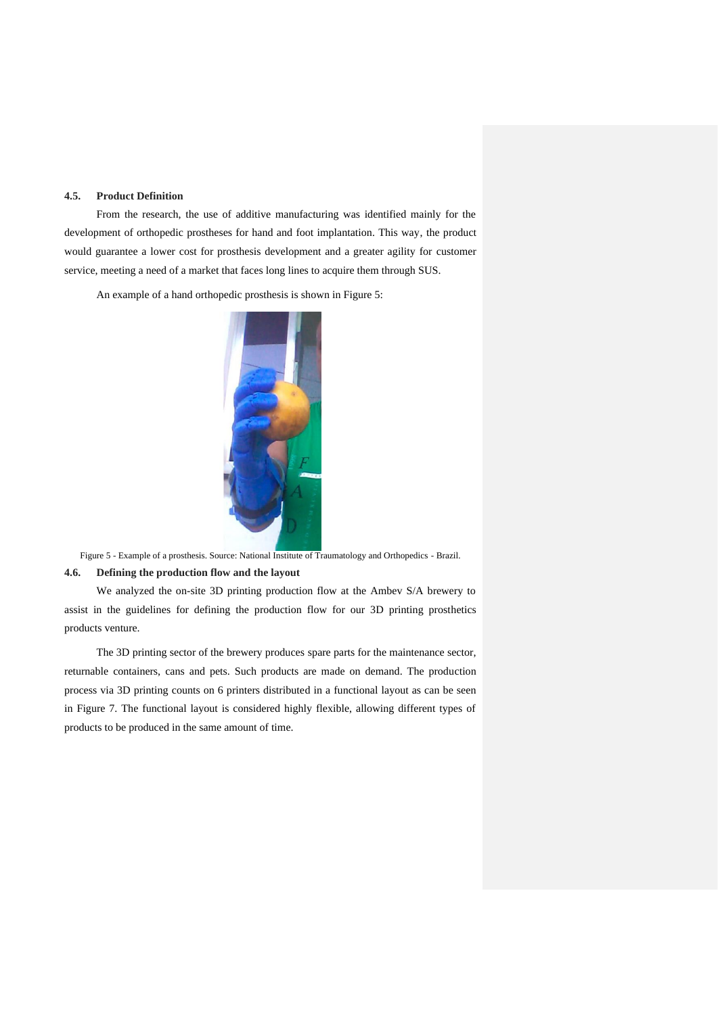#### **4.5. Product Definition**

From the research, the use of additive manufacturing was identified mainly for the development of orthopedic prostheses for hand and foot implantation. This way, the product would guarantee a lower cost for prosthesis development and a greater agility for customer service, meeting a need of a market that faces long lines to acquire them through SUS.

An example of a hand orthopedic prosthesis is shown in Figure 5:



Figure 5 - Example of a prosthesis. Source: National Institute of Traumatology and Orthopedics - Brazil. **4.6. Defining the production flow and the layout**

We analyzed the on-site 3D printing production flow at the Ambev S/A brewery to assist in the guidelines for defining the production flow for our 3D printing prosthetics products venture.

The 3D printing sector of the brewery produces spare parts for the maintenance sector, returnable containers, cans and pets. Such products are made on demand. The production process via 3D printing counts on 6 printers distributed in a functional layout as can be seen in Figure 7. The functional layout is considered highly flexible, allowing different types of products to be produced in the same amount of time.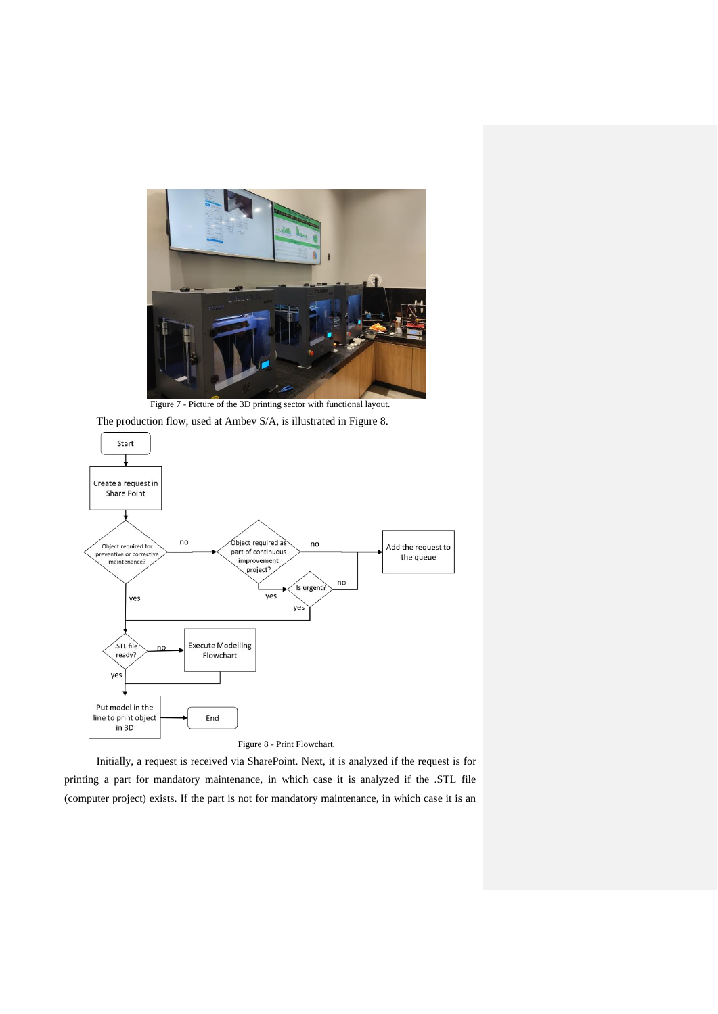

Figure 7 - Picture of the 3D printing sector with functional layout.





Initially, a request is received via SharePoint. Next, it is analyzed if the request is for printing a part for mandatory maintenance, in which case it is analyzed if the .STL file (computer project) exists. If the part is not for mandatory maintenance, in which case it is an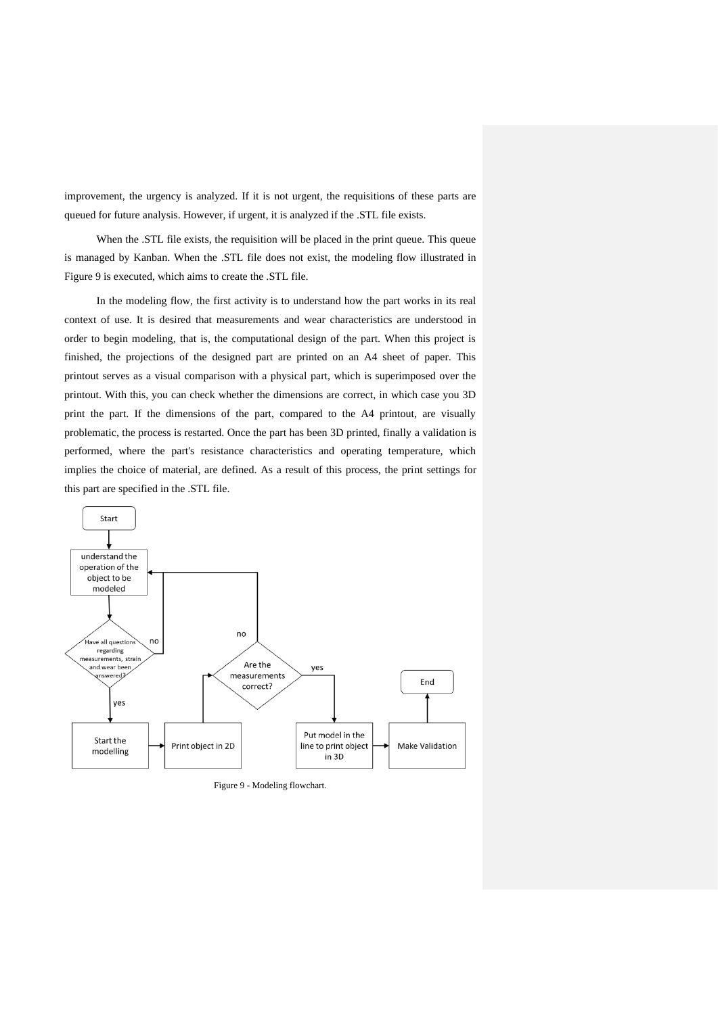improvement, the urgency is analyzed. If it is not urgent, the requisitions of these parts are queued for future analysis. However, if urgent, it is analyzed if the .STL file exists.

When the .STL file exists, the requisition will be placed in the print queue. This queue is managed by Kanban. When the .STL file does not exist, the modeling flow illustrated in Figure 9 is executed, which aims to create the .STL file.

In the modeling flow, the first activity is to understand how the part works in its real context of use. It is desired that measurements and wear characteristics are understood in order to begin modeling, that is, the computational design of the part. When this project is finished, the projections of the designed part are printed on an A4 sheet of paper. This printout serves as a visual comparison with a physical part, which is superimposed over the printout. With this, you can check whether the dimensions are correct, in which case you 3D print the part. If the dimensions of the part, compared to the A4 printout, are visually problematic, the process is restarted. Once the part has been 3D printed, finally a validation is performed, where the part's resistance characteristics and operating temperature, which implies the choice of material, are defined. As a result of this process, the print settings for this part are specified in the .STL file.



Figure 9 - Modeling flowchart.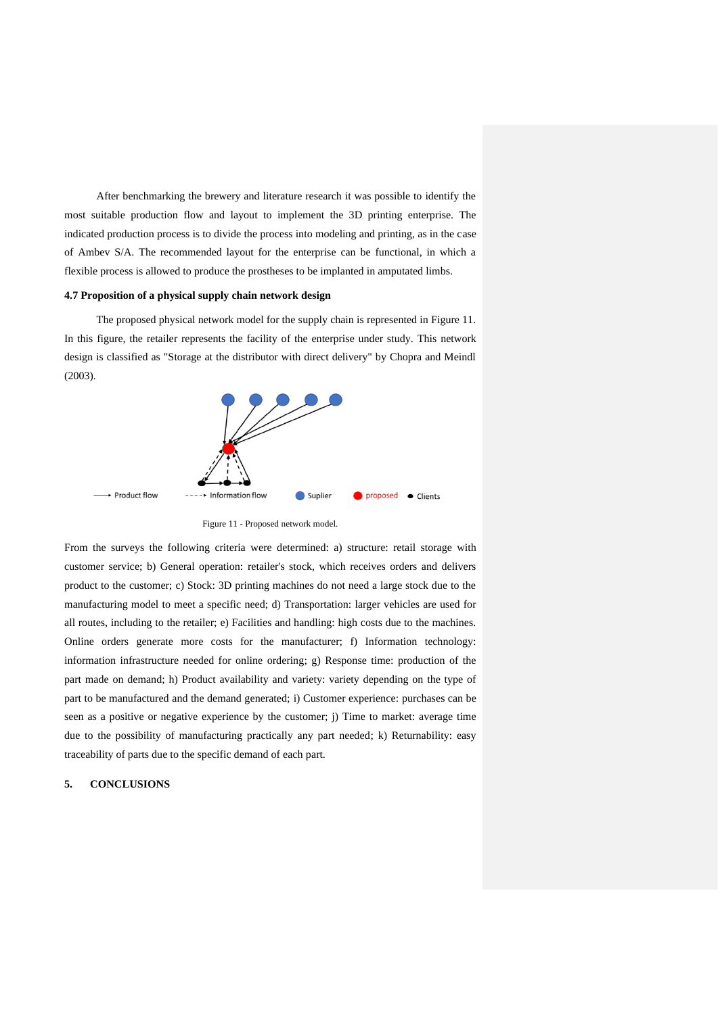After benchmarking the brewery and literature research it was possible to identify the most suitable production flow and layout to implement the 3D printing enterprise. The indicated production process is to divide the process into modeling and printing, as in the case of Ambev S/A. The recommended layout for the enterprise can be functional, in which a flexible process is allowed to produce the prostheses to be implanted in amputated limbs.

# **4.7 Proposition of a physical supply chain network design**

The proposed physical network model for the supply chain is represented in Figure 11. In this figure, the retailer represents the facility of the enterprise under study. This network design is classified as "Storage at the distributor with direct delivery" by Chopra and Meindl (2003).



Figure 11 - Proposed network model.

From the surveys the following criteria were determined: a) structure: retail storage with customer service; b) General operation: retailer's stock, which receives orders and delivers product to the customer; c) Stock: 3D printing machines do not need a large stock due to the manufacturing model to meet a specific need; d) Transportation: larger vehicles are used for all routes, including to the retailer; e) Facilities and handling: high costs due to the machines. Online orders generate more costs for the manufacturer; f) Information technology: information infrastructure needed for online ordering; g) Response time: production of the part made on demand; h) Product availability and variety: variety depending on the type of part to be manufactured and the demand generated; i) Customer experience: purchases can be seen as a positive or negative experience by the customer; j) Time to market: average time due to the possibility of manufacturing practically any part needed; k) Returnability: easy traceability of parts due to the specific demand of each part.

# **5. CONCLUSIONS**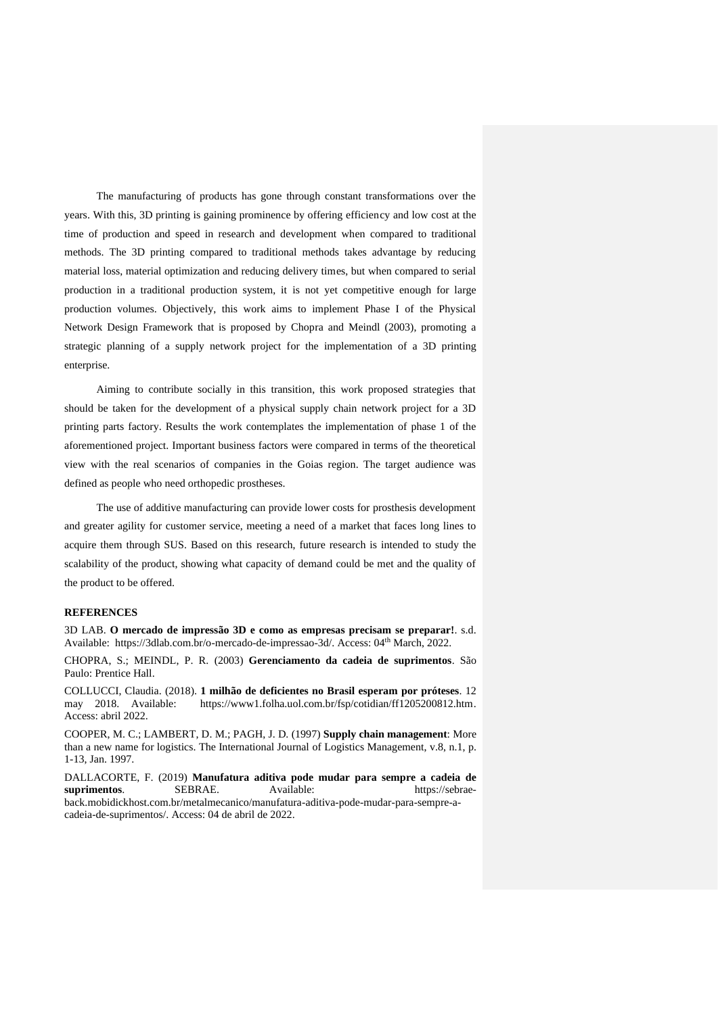The manufacturing of products has gone through constant transformations over the years. With this, 3D printing is gaining prominence by offering efficiency and low cost at the time of production and speed in research and development when compared to traditional methods. The 3D printing compared to traditional methods takes advantage by reducing material loss, material optimization and reducing delivery times, but when compared to serial production in a traditional production system, it is not yet competitive enough for large production volumes. Objectively, this work aims to implement Phase I of the Physical Network Design Framework that is proposed by Chopra and Meindl (2003), promoting a strategic planning of a supply network project for the implementation of a 3D printing enterprise.

Aiming to contribute socially in this transition, this work proposed strategies that should be taken for the development of a physical supply chain network project for a 3D printing parts factory. Results the work contemplates the implementation of phase 1 of the aforementioned project. Important business factors were compared in terms of the theoretical view with the real scenarios of companies in the Goias region. The target audience was defined as people who need orthopedic prostheses.

The use of additive manufacturing can provide lower costs for prosthesis development and greater agility for customer service, meeting a need of a market that faces long lines to acquire them through SUS. Based on this research, future research is intended to study the scalability of the product, showing what capacity of demand could be met and the quality of the product to be offered.

### **REFERENCES**

3D LAB. **O mercado de impressão 3D e como as empresas precisam se preparar!**. s.d. Available: [https://3dlab.com.br/o-mercado-de-impressao-3d/.](https://3dlab.com.br/o-mercado-de-impressao-3d/) Access: 04<sup>th</sup> March, 2022.

CHOPRA, S.; MEINDL, P. R. (2003) **Gerenciamento da cadeia de suprimentos**. São Paulo: Prentice Hall.

COLLUCCI, Claudia. (2018). **1 milhão de deficientes no Brasil esperam por próteses**. 12 [https://www1.folha.uol.com.br/fsp/cotidian/ff1205200812.htm.](https://www1.folha.uol.com.br/fsp/cotidian/ff1205200812.htm) Access: abril 2022.

COOPER, M. C.; LAMBERT, D. M.; PAGH, J. D. (1997) **Supply chain management**: More than a new name for logistics. The International Journal of Logistics Management, v.8, n.1, p. 1-13, Jan. 1997.

DALLACORTE, F. (2019) **Manufatura aditiva pode mudar para sempre a cadeia de suprimentos**. SEBRAE. Available: [https://sebrae](https://sebrae-back.mobidickhost.com.br/metalmecanico/manufatura-aditiva-pode-mudar-para-sempre-a-cadeia-de-suprimentos/)[back.mobidickhost.com.br/metalmecanico/manufatura-aditiva-pode-mudar-para-sempre-a](https://sebrae-back.mobidickhost.com.br/metalmecanico/manufatura-aditiva-pode-mudar-para-sempre-a-cadeia-de-suprimentos/)[cadeia-de-suprimentos/.](https://sebrae-back.mobidickhost.com.br/metalmecanico/manufatura-aditiva-pode-mudar-para-sempre-a-cadeia-de-suprimentos/) Access: 04 de abril de 2022.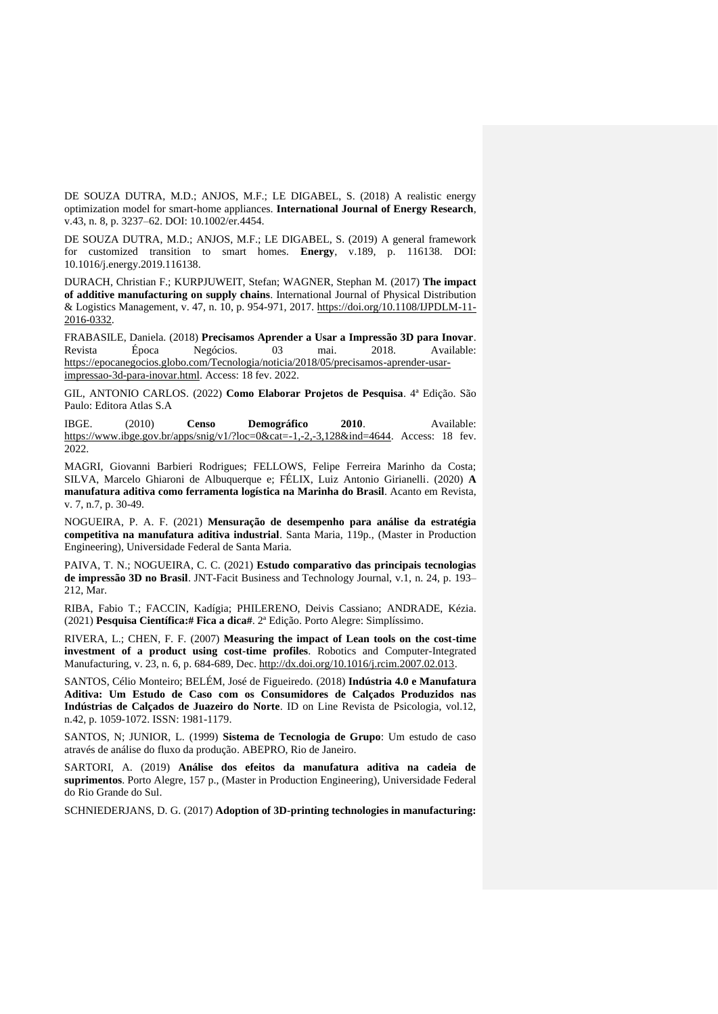DE SOUZA DUTRA, M.D.; ANJOS, M.F.; LE DIGABEL, S. (2018) A realistic energy optimization model for smart-home appliances. **International Journal of Energy Research**, v.43, n. 8, p. 3237–62. DOI: 10.1002/er.4454.

DE SOUZA DUTRA, M.D.; ANJOS, M.F.; LE DIGABEL, S. (2019) A general framework for customized transition to smart homes. **Energy**, v.189, p. 116138. DOI: 10.1016/j.energy.2019.116138.

DURACH, Christian F.; KURPJUWEIT, Stefan; WAGNER, Stephan M. (2017) **The impact of additive manufacturing on supply chains**. International Journal of Physical Distribution & Logistics Management, v. 47, n. 10, p. 954-971, 2017. [https://doi.org/10.1108/IJPDLM-11-](https://doi.org/10.1108/IJPDLM-11-2016-0332) [2016-0332.](https://doi.org/10.1108/IJPDLM-11-2016-0332)

FRABASILE, Daniela. (2018) **Precisamos Aprender a Usar a Impressão 3D para Inovar**. Revista Época Negócios. 03 mai. 2018. Available: [https://epocanegocios.globo.com/Tecnologia/noticia/2018/05/precisamos-aprender-usar](https://epocanegocios.globo.com/Tecnologia/noticia/2018/05/precisamos-aprender-usar-impressao-3d-para-inovar.html)[impressao-3d-para-inovar.html.](https://epocanegocios.globo.com/Tecnologia/noticia/2018/05/precisamos-aprender-usar-impressao-3d-para-inovar.html) Access: 18 fev. 2022.

GIL, ANTONIO CARLOS. (2022) **Como Elaborar Projetos de Pesquisa**. 4ª Edição. São Paulo: Editora Atlas S.A

IBGE. (2010) **Censo Demográfico 2010**. Available: [https://www.ibge.gov.br/apps/snig/v1/?loc=0&cat=-1,-2,-3,128&ind=4644.](https://www.ibge.gov.br/apps/snig/v1/?loc=0&cat=-1,-2,-3,128&ind=4644) Access: 18 fev. 2022.

MAGRI, Giovanni Barbieri Rodrigues; FELLOWS, Felipe Ferreira Marinho da Costa; SILVA, Marcelo Ghiaroni de Albuquerque e; FÉLIX, Luiz Antonio Girianelli. (2020) **A manufatura aditiva como ferramenta logística na Marinha do Brasil**. Acanto em Revista, v. 7, n.7, p. 30-49.

NOGUEIRA, P. A. F. (2021) **Mensuração de desempenho para análise da estratégia competitiva na manufatura aditiva industrial**. Santa Maria, 119p., (Master in Production Engineering), Universidade Federal de Santa Maria.

PAIVA, T. N.; NOGUEIRA, C. C. (2021) **Estudo comparativo das principais tecnologias de impressão 3D no Brasil**. JNT-Facit Business and Technology Journal, v.1, n. 24, p. 193– 212, Mar.

RIBA, Fabio T.; FACCIN, Kadígia; PHILERENO, Deivis Cassiano; ANDRADE, Kézia. (2021) **Pesquisa Científica:# Fica a dica#**. 2ª Edição. Porto Alegre: Simplíssimo.

RIVERA, L.; CHEN, F. F. (2007) **Measuring the impact of Lean tools on the cost-time investment of a product using cost-time profiles**. Robotics and Computer-Integrated Manufacturing, v. 23, n. 6, p. 684-689, Dec. [http://dx.doi.org/10.1016/j.rcim.2007.02.013.](http://dx.doi.org/10.1016/j.rcim.2007.02.013)

SANTOS, Célio Monteiro; BELÉM, José de Figueiredo. (2018) **Indústria 4.0 e Manufatura Aditiva: Um Estudo de Caso com os Consumidores de Calçados Produzidos nas Indústrias de Calçados de Juazeiro do Norte**. ID on Line Revista de Psicologia, vol.12, n.42, p. 1059-1072. ISSN: 1981-1179.

SANTOS, N; JUNIOR, L. (1999) **Sistema de Tecnologia de Grupo**: Um estudo de caso através de análise do fluxo da produção. ABEPRO, Rio de Janeiro.

SARTORI, A. (2019) **Análise dos efeitos da manufatura aditiva na cadeia de suprimentos**. Porto Alegre, 157 p., (Master in Production Engineering), Universidade Federal do Rio Grande do Sul.

SCHNIEDERJANS, D. G. (2017) **Adoption of 3D-printing technologies in manufacturing:**